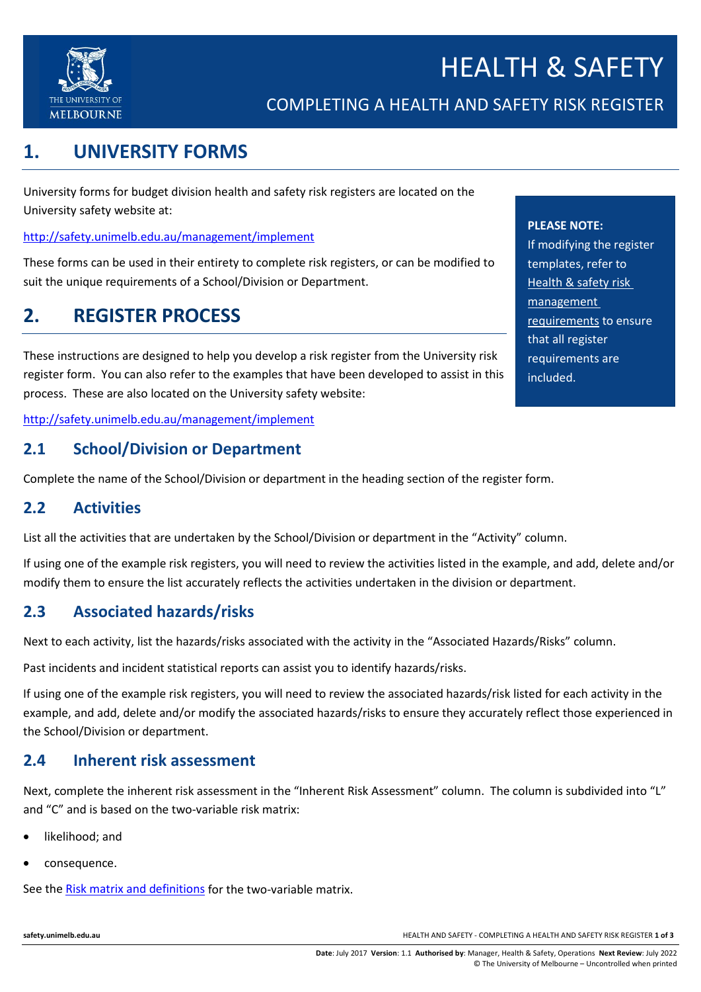

COMPLETING A HEALTH AND SAFETY RISK REGISTER

# **1. UNIVERSITY FORMS**

University forms for budget division health and safety risk registers are located on the University safety website at:

<http://safety.unimelb.edu.au/management/implement>

These forms can be used in their entirety to complete risk registers, or can be modified to suit the unique requirements of a School/Division or Department.

# **2. REGISTER PROCESS**

These instructions are designed to help you develop a risk register from the University risk register form. You can also refer to the examples that have been developed to assist in this process. These are also located on the University safety website:

<http://safety.unimelb.edu.au/management/implement>

### **2.1 School/Division or Department**

Complete the name of the School/Division or department in the heading section of the register form.

### **2.2 Activities**

List all the activities that are undertaken by the School/Division or department in the "Activity" column.

If using one of the example risk registers, you will need to review the activities listed in the example, and add, delete and/or modify them to ensure the list accurately reflects the activities undertaken in the division or department.

## **2.3 Associated hazards/risks**

Next to each activity, list the hazards/risks associated with the activity in the "Associated Hazards/Risks" column.

Past incidents and incident statistical reports can assist you to identify hazards/risks.

If using one of the example risk registers, you will need to review the associated hazards/risk listed for each activity in the example, and add, delete and/or modify the associated hazards/risks to ensure they accurately reflect those experienced in the School/Division or department.

### **2.4 Inherent risk assessment**

Next, complete the inherent risk assessment in the "Inherent Risk Assessment" column. The column is subdivided into "L" and "C" and is based on the two-variable risk matrix:

- likelihood; and
- consequence.

See the [Risk matrix and definitions](http://safety.unimelb.edu.au/__data/assets/pdf_file/0007/2235427/Risk-Matrix-and-Definitions.pdf) for the two-variable matrix.

**PLEASE NOTE:**

If modifying the register templates, refer to [Health & safety risk](http://safety.unimelb.edu.au/__data/assets/word_doc/0003/2077581/Health-and-safety-risk-management-requirements.docx)  [management](http://safety.unimelb.edu.au/__data/assets/word_doc/0003/2077581/Health-and-safety-risk-management-requirements.docx)  [requirements](http://safety.unimelb.edu.au/__data/assets/word_doc/0003/2077581/Health-and-safety-risk-management-requirements.docx) to ensure that all register requirements are included.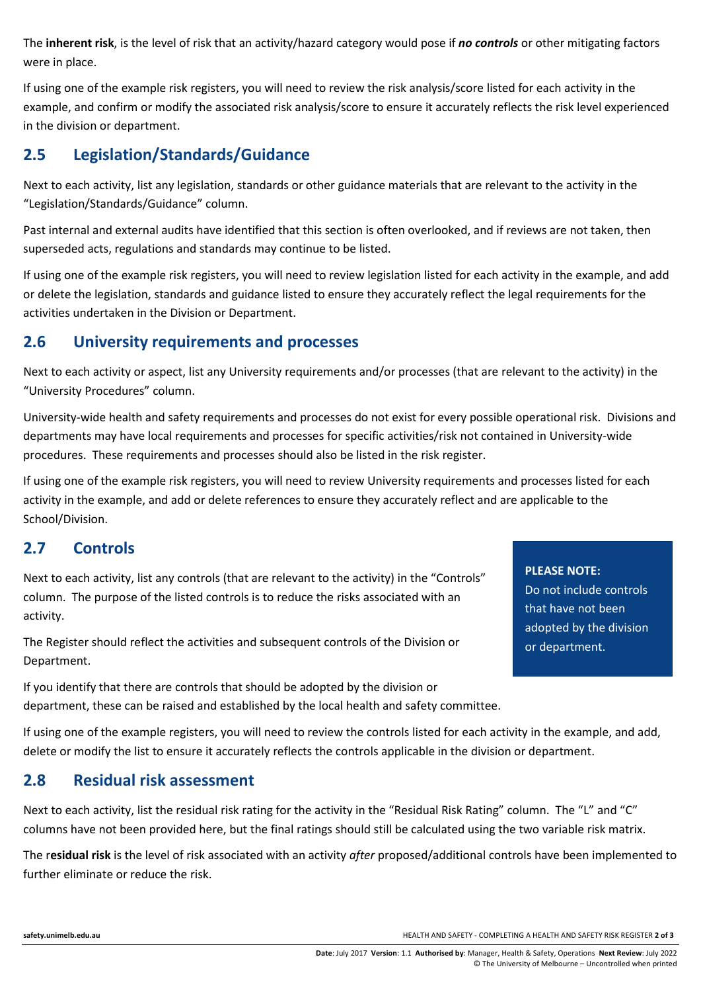The **inherent risk**, is the level of risk that an activity/hazard category would pose if *no controls* or other mitigating factors were in place.

If using one of the example risk registers, you will need to review the risk analysis/score listed for each activity in the example, and confirm or modify the associated risk analysis/score to ensure it accurately reflects the risk level experienced in the division or department.

## **2.5 Legislation/Standards/Guidance**

Next to each activity, list any legislation, standards or other guidance materials that are relevant to the activity in the "Legislation/Standards/Guidance" column.

Past internal and external audits have identified that this section is often overlooked, and if reviews are not taken, then superseded acts, regulations and standards may continue to be listed.

If using one of the example risk registers, you will need to review legislation listed for each activity in the example, and add or delete the legislation, standards and guidance listed to ensure they accurately reflect the legal requirements for the activities undertaken in the Division or Department.

### **2.6 University requirements and processes**

Next to each activity or aspect, list any University requirements and/or processes (that are relevant to the activity) in the "University Procedures" column.

University-wide health and safety requirements and processes do not exist for every possible operational risk. Divisions and departments may have local requirements and processes for specific activities/risk not contained in University-wide procedures. These requirements and processes should also be listed in the risk register.

If using one of the example risk registers, you will need to review University requirements and processes listed for each activity in the example, and add or delete references to ensure they accurately reflect and are applicable to the School/Division.

## **2.7 Controls**

Next to each activity, list any controls (that are relevant to the activity) in the "Controls" column. The purpose of the listed controls is to reduce the risks associated with an activity.

The Register should reflect the activities and subsequent controls of the Division or Department.

If you identify that there are controls that should be adopted by the division or department, these can be raised and established by the local health and safety committee. Do not include controls that have not been adopted by the division

**PLEASE NOTE:**

or department.

If using one of the example registers, you will need to review the controls listed for each activity in the example, and add, delete or modify the list to ensure it accurately reflects the controls applicable in the division or department.

## **2.8 Residual risk assessment**

Next to each activity, list the residual risk rating for the activity in the "Residual Risk Rating" column. The "L" and "C" columns have not been provided here, but the final ratings should still be calculated using the two variable risk matrix.

The r**esidual risk** is the level of risk associated with an activity *after* proposed/additional controls have been implemented to further eliminate or reduce the risk.

**[safety.unimelb.edu.au](http://www.pb.unimelb.edu.au/ehs/)** HEALTH AND SAFETY - COMPLETING A HEALTH AND SAFETY RISK REGISTER **2 of 3**